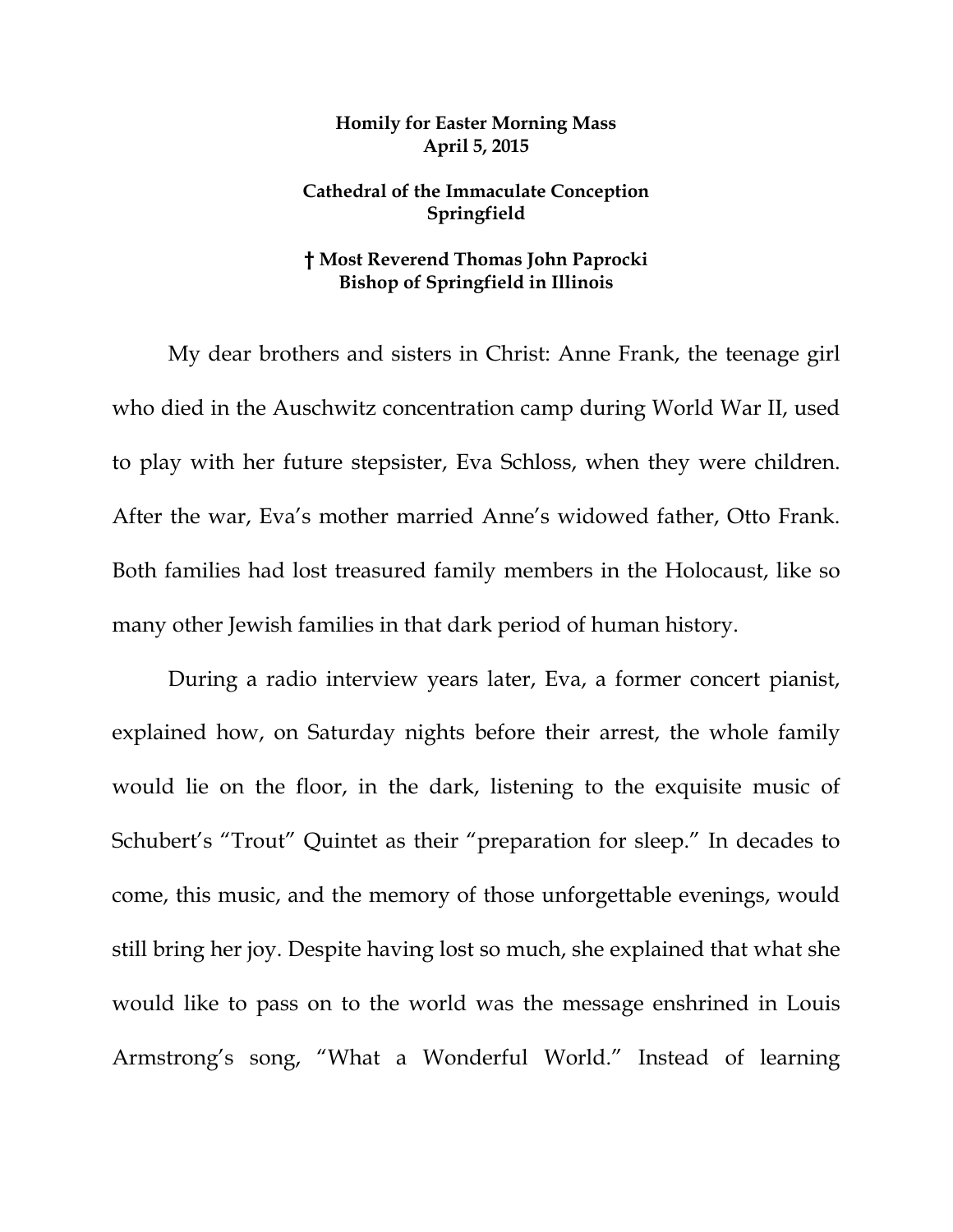## **Homily for Easter Morning Mass April 5, 2015**

## **Cathedral of the Immaculate Conception Springfield**

## **† Most Reverend Thomas John Paprocki Bishop of Springfield in Illinois**

 My dear brothers and sisters in Christ: Anne Frank, the teenage girl who died in the Auschwitz concentration camp during World War II, used to play with her future stepsister, Eva Schloss, when they were children. After the war, Eva's mother married Anne's widowed father, Otto Frank. Both families had lost treasured family members in the Holocaust, like so many other Jewish families in that dark period of human history.

During a radio interview years later, Eva, a former concert pianist, explained how, on Saturday nights before their arrest, the whole family would lie on the floor, in the dark, listening to the exquisite music of Schubert's "Trout" Quintet as their "preparation for sleep." In decades to come, this music, and the memory of those unforgettable evenings, would still bring her joy. Despite having lost so much, she explained that what she would like to pass on to the world was the message enshrined in Louis Armstrong's song, "What a Wonderful World." Instead of learning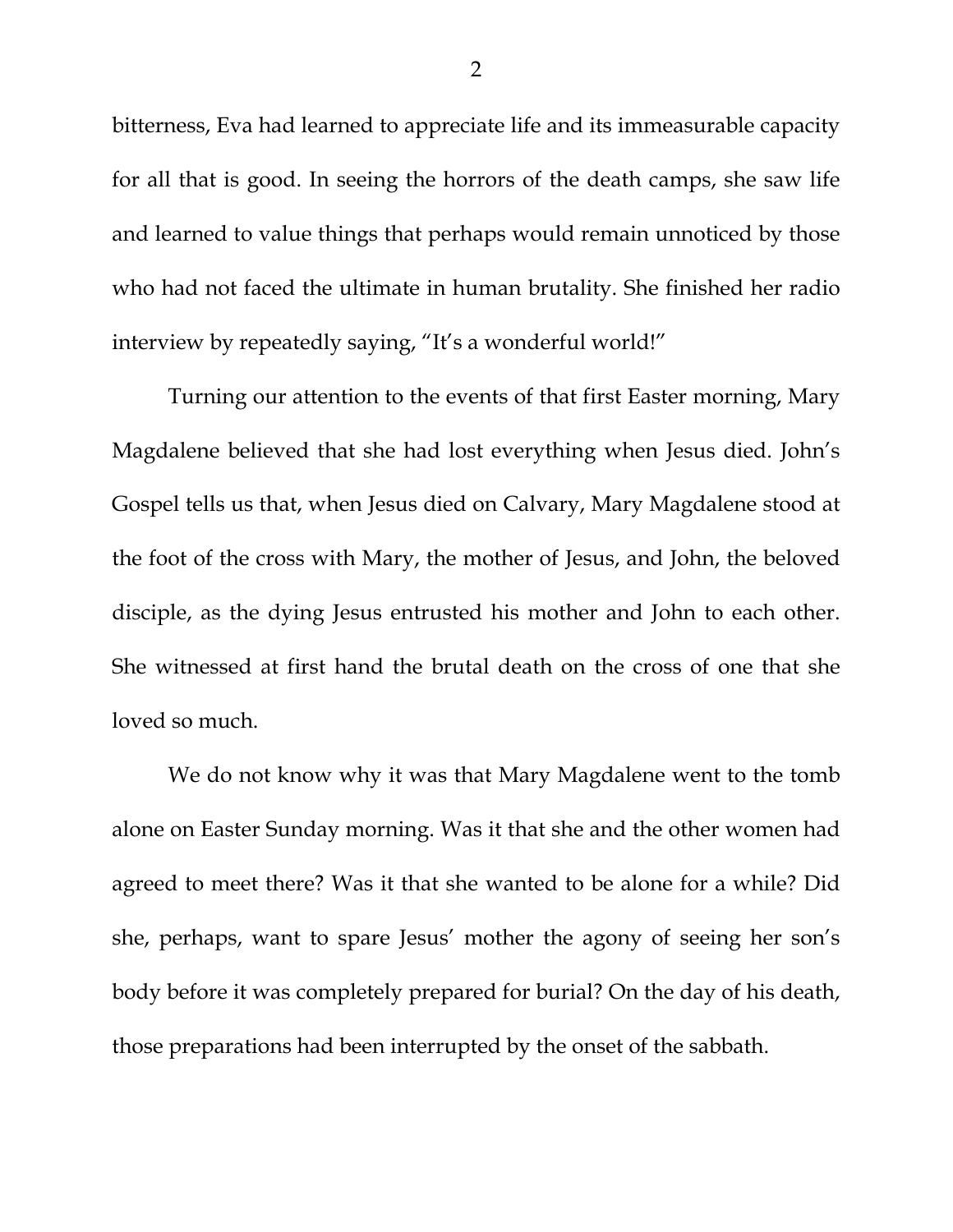bitterness, Eva had learned to appreciate life and its immeasurable capacity for all that is good. In seeing the horrors of the death camps, she saw life and learned to value things that perhaps would remain unnoticed by those who had not faced the ultimate in human brutality. She finished her radio interview by repeatedly saying, "It's a wonderful world!"

Turning our attention to the events of that first Easter morning, Mary Magdalene believed that she had lost everything when Jesus died. John's Gospel tells us that, when Jesus died on Calvary, Mary Magdalene stood at the foot of the cross with Mary, the mother of Jesus, and John, the beloved disciple, as the dying Jesus entrusted his mother and John to each other. She witnessed at first hand the brutal death on the cross of one that she loved so much.

We do not know why it was that Mary Magdalene went to the tomb alone on Easter Sunday morning. Was it that she and the other women had agreed to meet there? Was it that she wanted to be alone for a while? Did she, perhaps, want to spare Jesus' mother the agony of seeing her son's body before it was completely prepared for burial? On the day of his death, those preparations had been interrupted by the onset of the sabbath.

2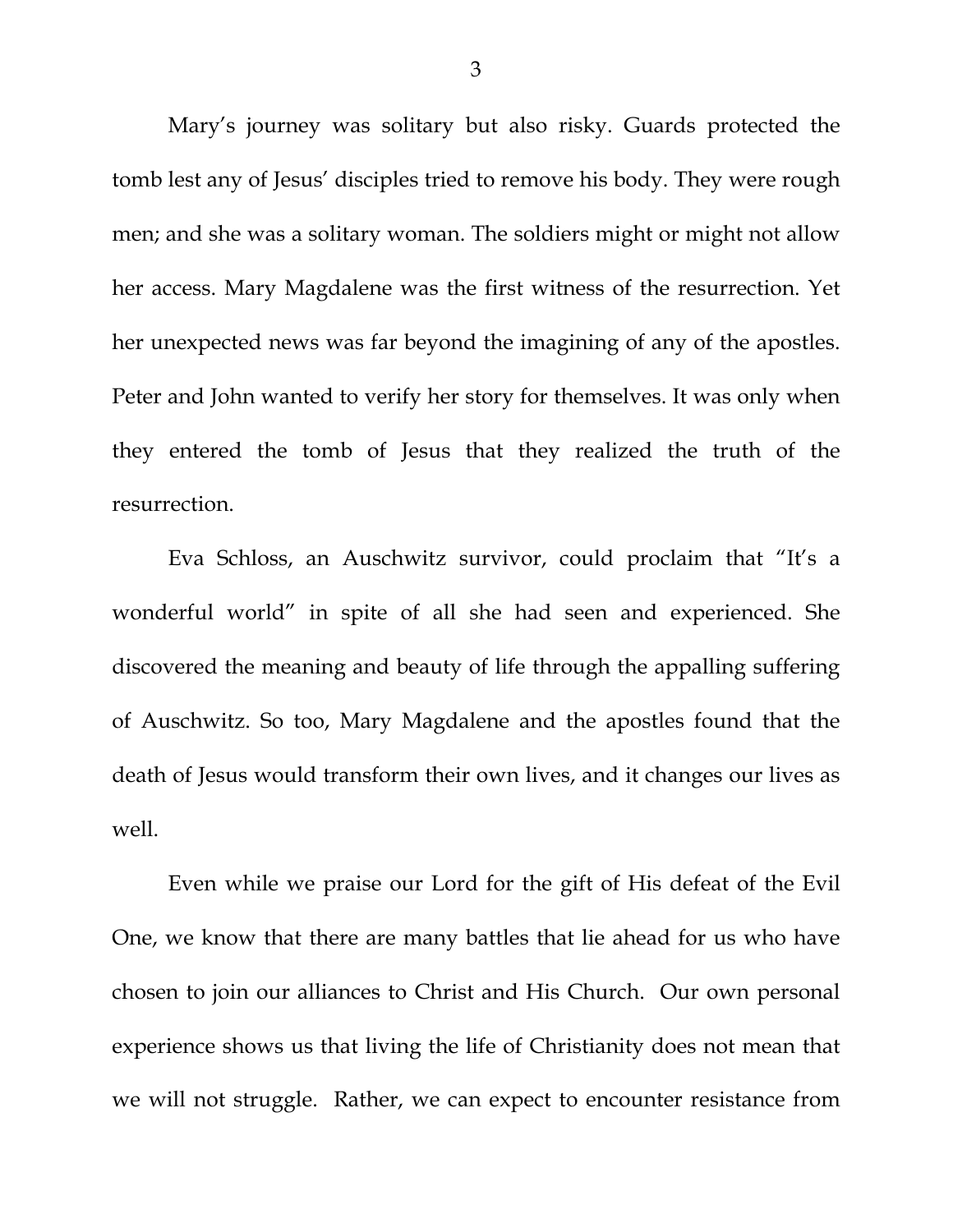Mary's journey was solitary but also risky. Guards protected the tomb lest any of Jesus' disciples tried to remove his body. They were rough men; and she was a solitary woman. The soldiers might or might not allow her access. Mary Magdalene was the first witness of the resurrection. Yet her unexpected news was far beyond the imagining of any of the apostles. Peter and John wanted to verify her story for themselves. It was only when they entered the tomb of Jesus that they realized the truth of the resurrection.

Eva Schloss, an Auschwitz survivor, could proclaim that "It's a wonderful world" in spite of all she had seen and experienced. She discovered the meaning and beauty of life through the appalling suffering of Auschwitz. So too, Mary Magdalene and the apostles found that the death of Jesus would transform their own lives, and it changes our lives as well.

 Even while we praise our Lord for the gift of His defeat of the Evil One, we know that there are many battles that lie ahead for us who have chosen to join our alliances to Christ and His Church. Our own personal experience shows us that living the life of Christianity does not mean that we will not struggle. Rather, we can expect to encounter resistance from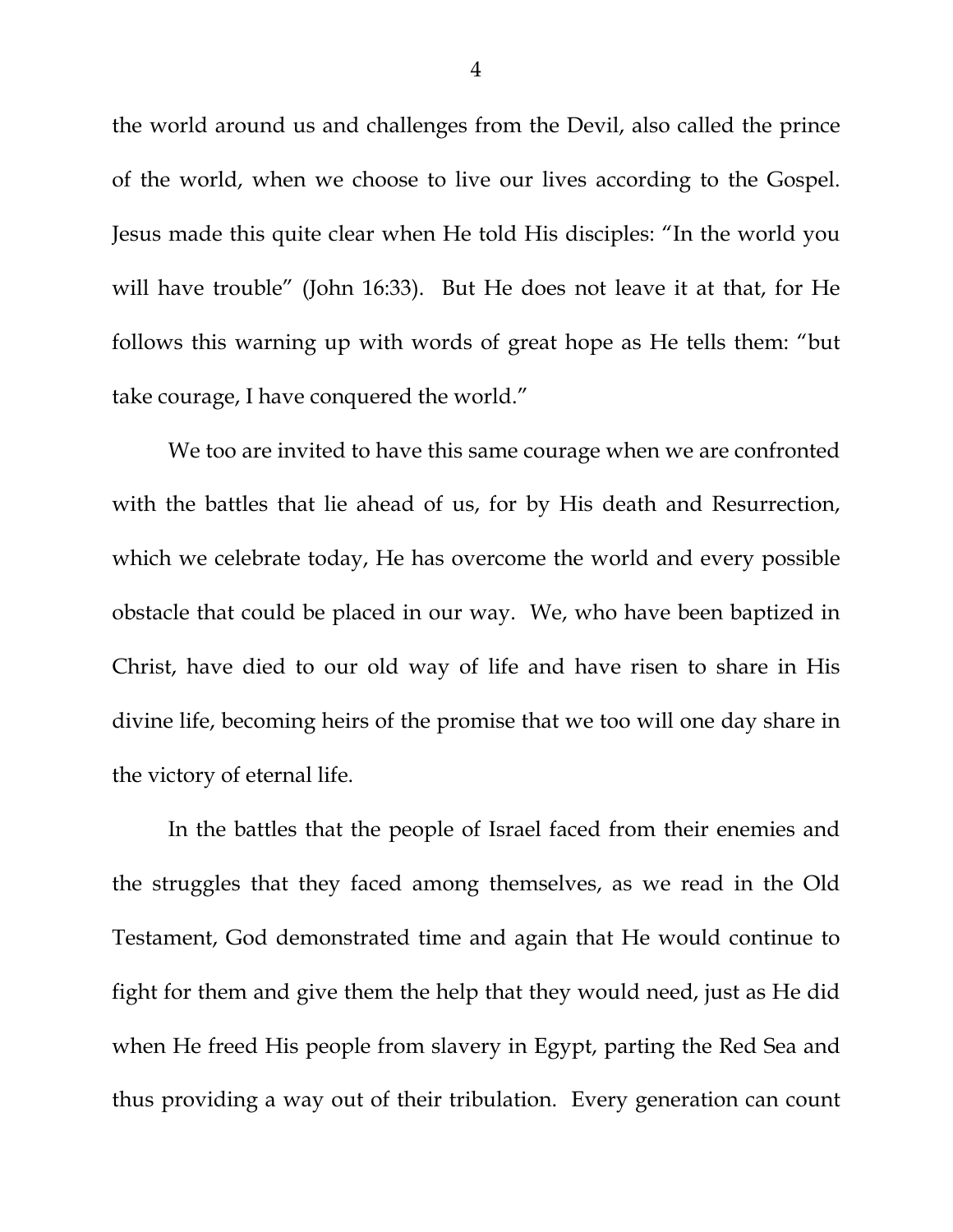the world around us and challenges from the Devil, also called the prince of the world, when we choose to live our lives according to the Gospel. Jesus made this quite clear when He told His disciples: "In the world you will have trouble" (John 16:33). But He does not leave it at that, for He follows this warning up with words of great hope as He tells them: "but take courage, I have conquered the world."

 We too are invited to have this same courage when we are confronted with the battles that lie ahead of us, for by His death and Resurrection, which we celebrate today, He has overcome the world and every possible obstacle that could be placed in our way. We, who have been baptized in Christ, have died to our old way of life and have risen to share in His divine life, becoming heirs of the promise that we too will one day share in the victory of eternal life.

 In the battles that the people of Israel faced from their enemies and the struggles that they faced among themselves, as we read in the Old Testament, God demonstrated time and again that He would continue to fight for them and give them the help that they would need, just as He did when He freed His people from slavery in Egypt, parting the Red Sea and thus providing a way out of their tribulation. Every generation can count

4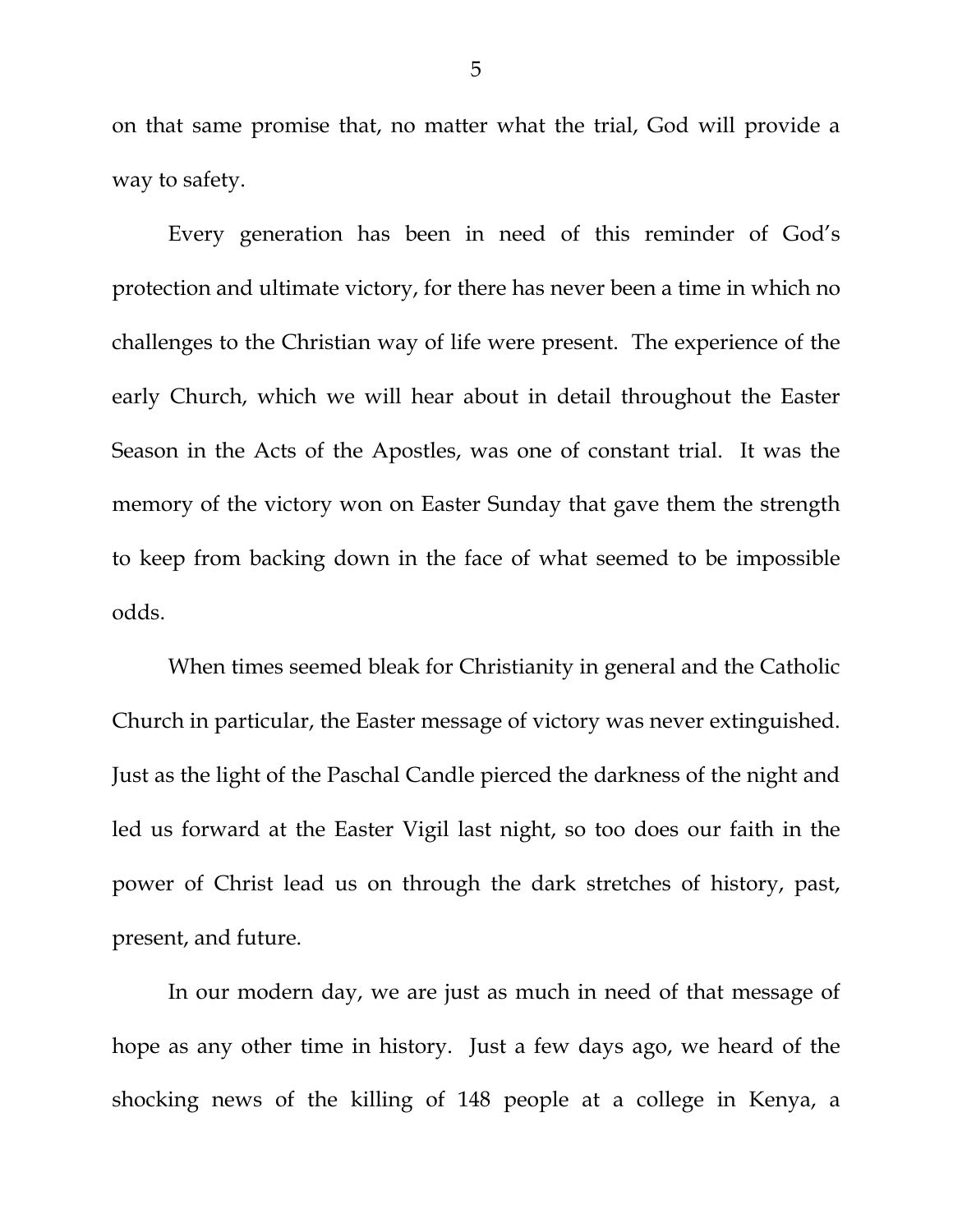on that same promise that, no matter what the trial, God will provide a way to safety.

 Every generation has been in need of this reminder of God's protection and ultimate victory, for there has never been a time in which no challenges to the Christian way of life were present. The experience of the early Church, which we will hear about in detail throughout the Easter Season in the Acts of the Apostles, was one of constant trial. It was the memory of the victory won on Easter Sunday that gave them the strength to keep from backing down in the face of what seemed to be impossible odds.

 When times seemed bleak for Christianity in general and the Catholic Church in particular, the Easter message of victory was never extinguished. Just as the light of the Paschal Candle pierced the darkness of the night and led us forward at the Easter Vigil last night, so too does our faith in the power of Christ lead us on through the dark stretches of history, past, present, and future.

 In our modern day, we are just as much in need of that message of hope as any other time in history. Just a few days ago, we heard of the shocking news of the killing of 148 people at a college in Kenya, a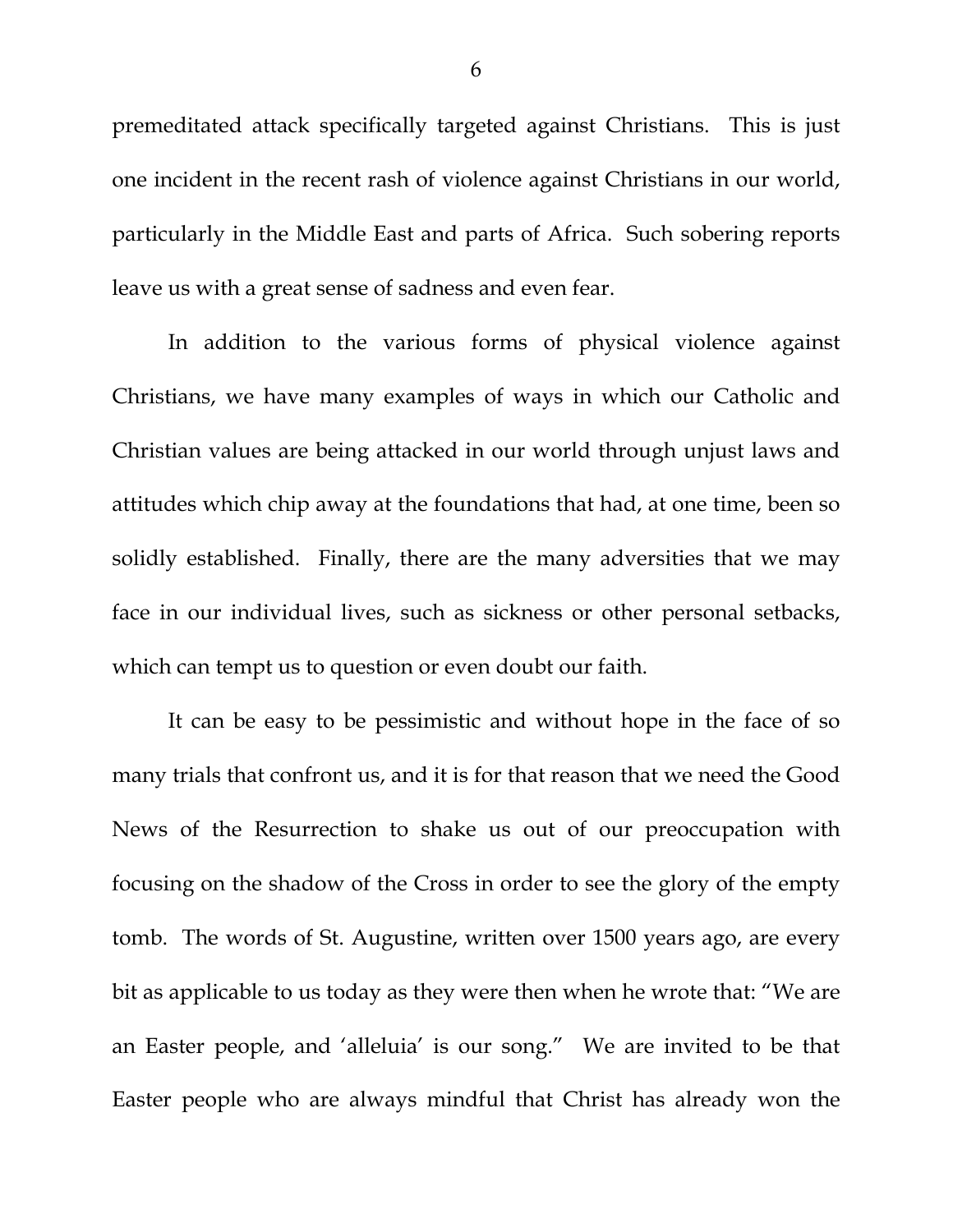premeditated attack specifically targeted against Christians. This is just one incident in the recent rash of violence against Christians in our world, particularly in the Middle East and parts of Africa. Such sobering reports leave us with a great sense of sadness and even fear.

 In addition to the various forms of physical violence against Christians, we have many examples of ways in which our Catholic and Christian values are being attacked in our world through unjust laws and attitudes which chip away at the foundations that had, at one time, been so solidly established. Finally, there are the many adversities that we may face in our individual lives, such as sickness or other personal setbacks, which can tempt us to question or even doubt our faith.

 It can be easy to be pessimistic and without hope in the face of so many trials that confront us, and it is for that reason that we need the Good News of the Resurrection to shake us out of our preoccupation with focusing on the shadow of the Cross in order to see the glory of the empty tomb. The words of St. Augustine, written over 1500 years ago, are every bit as applicable to us today as they were then when he wrote that: "We are an Easter people, and 'alleluia' is our song." We are invited to be that Easter people who are always mindful that Christ has already won the